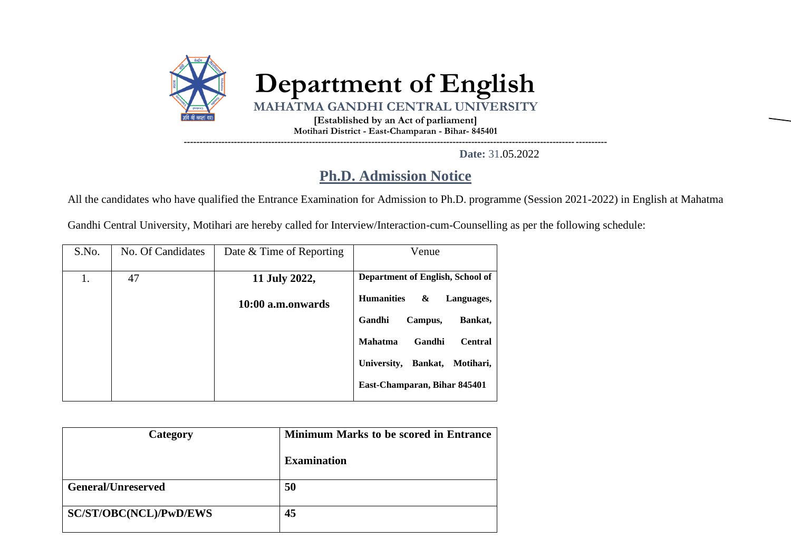

**Date:** 31.05.2022

## **Ph.D. Admission Notice**

All the candidates who have qualified the Entrance Examination for Admission to Ph.D. programme (Session 2021-2022) in English at Mahatma

Gandhi Central University, Motihari are hereby called for Interview/Interaction-cum-Counselling as per the following schedule:

| S.No. | No. Of Candidates | Date & Time of Reporting | Venue                                      |  |  |
|-------|-------------------|--------------------------|--------------------------------------------|--|--|
| 1.    | 47                | 11 July 2022,            | Department of English, School of           |  |  |
|       |                   | 10:00 a.m.onwards        | <b>Humanities</b><br>&<br>Languages,       |  |  |
|       |                   |                          | Bankat,<br>Gandhi<br>Campus,               |  |  |
|       |                   |                          | <b>Mahatma</b><br>Gandhi<br><b>Central</b> |  |  |
|       |                   |                          | Motihari,<br>Bankat,<br>University,        |  |  |
|       |                   |                          | East-Champaran, Bihar 845401               |  |  |

| Category                      | <b>Minimum Marks to be scored in Entrance</b> |  |  |  |  |
|-------------------------------|-----------------------------------------------|--|--|--|--|
|                               | <b>Examination</b>                            |  |  |  |  |
| <b>General/Unreserved</b>     | 50                                            |  |  |  |  |
|                               |                                               |  |  |  |  |
| <b>SC/ST/OBC(NCL)/PwD/EWS</b> | 45                                            |  |  |  |  |
|                               |                                               |  |  |  |  |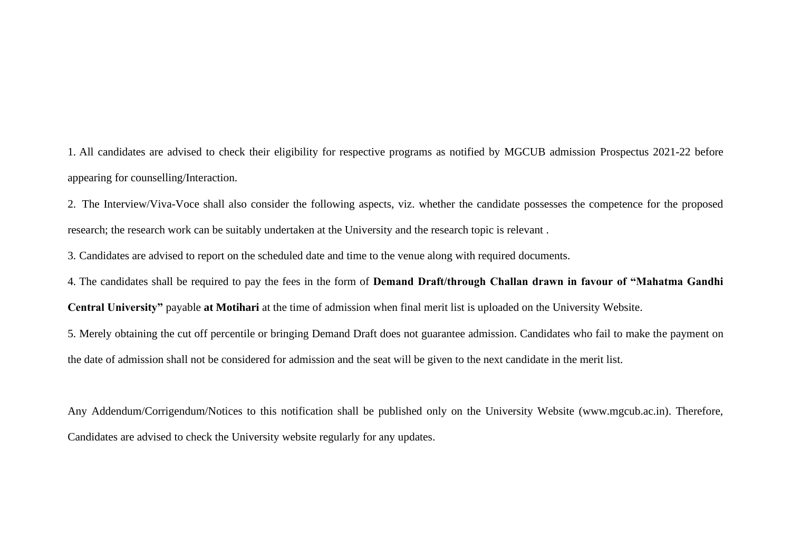1. All candidates are advised to check their eligibility for respective programs as notified by MGCUB admission Prospectus 2021-22 before appearing for counselling/Interaction.

2. The Interview/Viva-Voce shall also consider the following aspects, viz. whether the candidate possesses the competence for the proposed research; the research work can be suitably undertaken at the University and the research topic is relevant .

3. Candidates are advised to report on the scheduled date and time to the venue along with required documents.

4. The candidates shall be required to pay the fees in the form of **Demand Draft/through Challan drawn in favour of "Mahatma Gandhi** 

**Central University"** payable **at Motihari** at the time of admission when final merit list is uploaded on the University Website.

5. Merely obtaining the cut off percentile or bringing Demand Draft does not guarantee admission. Candidates who fail to make the payment on the date of admission shall not be considered for admission and the seat will be given to the next candidate in the merit list.

Any Addendum/Corrigendum/Notices to this notification shall be published only on the University Website (www.mgcub.ac.in). Therefore, Candidates are advised to check the University website regularly for any updates.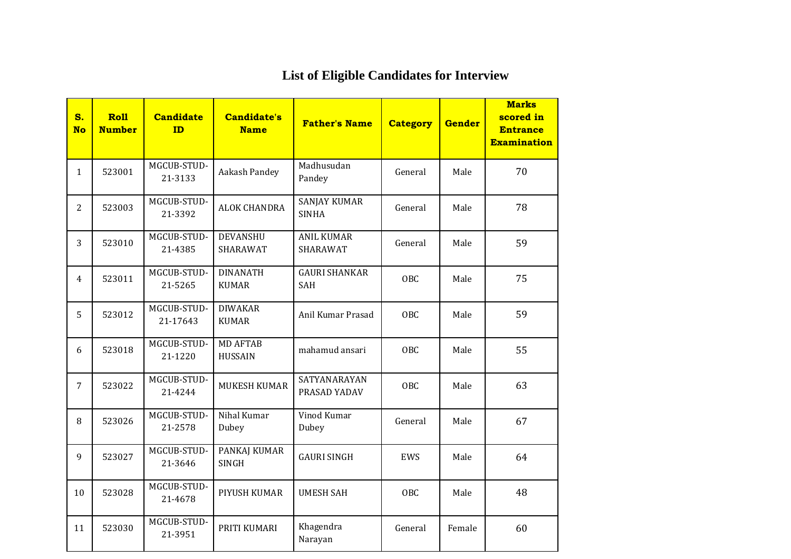| S.<br><b>No</b> | <b>Roll</b><br><b>Number</b> | <b>Candidate</b><br>ID  | <b>Candidate's</b><br><b>Name</b> | <b>Father's Name</b>                | <b>Category</b> | Gender | <b>Marks</b><br>scored in<br><b>Entrance</b><br><b>Examination</b> |
|-----------------|------------------------------|-------------------------|-----------------------------------|-------------------------------------|-----------------|--------|--------------------------------------------------------------------|
| $\mathbf{1}$    | 523001                       | MGCUB-STUD-<br>21-3133  | Aakash Pandey                     | Madhusudan<br>Pandey                | General         | Male   | 70                                                                 |
| 2               | 523003                       | MGCUB-STUD-<br>21-3392  | <b>ALOK CHANDRA</b>               | <b>SANJAY KUMAR</b><br><b>SINHA</b> | General         | Male   | 78                                                                 |
| 3               | 523010                       | MGCUB-STUD-<br>21-4385  | <b>DEVANSHU</b><br>SHARAWAT       | <b>ANIL KUMAR</b><br>SHARAWAT       | General         | Male   | 59                                                                 |
| 4               | 523011                       | MGCUB-STUD-<br>21-5265  | <b>DINANATH</b><br><b>KUMAR</b>   | <b>GAURI SHANKAR</b><br>SAH         | <b>OBC</b>      | Male   | 75                                                                 |
| 5               | 523012                       | MGCUB-STUD-<br>21-17643 | <b>DIWAKAR</b><br><b>KUMAR</b>    | Anil Kumar Prasad                   | <b>OBC</b>      | Male   | 59                                                                 |
| 6               | 523018                       | MGCUB-STUD-<br>21-1220  | <b>MD AFTAB</b><br><b>HUSSAIN</b> | mahamud ansari                      | OBC             | Male   | 55                                                                 |
| $\overline{7}$  | 523022                       | MGCUB-STUD-<br>21-4244  | <b>MUKESH KUMAR</b>               | SATYANARAYAN<br>PRASAD YADAV        | <b>OBC</b>      | Male   | 63                                                                 |
| 8               | 523026                       | MGCUB-STUD-<br>21-2578  | Nihal Kumar<br>Dubey              | Vinod Kumar<br>Dubey                | General         | Male   | 67                                                                 |
| 9               | 523027                       | MGCUB-STUD-<br>21-3646  | PANKAJ KUMAR<br><b>SINGH</b>      | <b>GAURI SINGH</b>                  | EWS             | Male   | 64                                                                 |
| 10              | 523028                       | MGCUB-STUD-<br>21-4678  | PIYUSH KUMAR                      | <b>UMESH SAH</b>                    | OBC             | Male   | 48                                                                 |
| 11              | 523030                       | MGCUB-STUD-<br>21-3951  | PRITI KUMARI                      | Khagendra<br>Narayan                | General         | Female | 60                                                                 |

## **List of Eligible Candidates for Interview**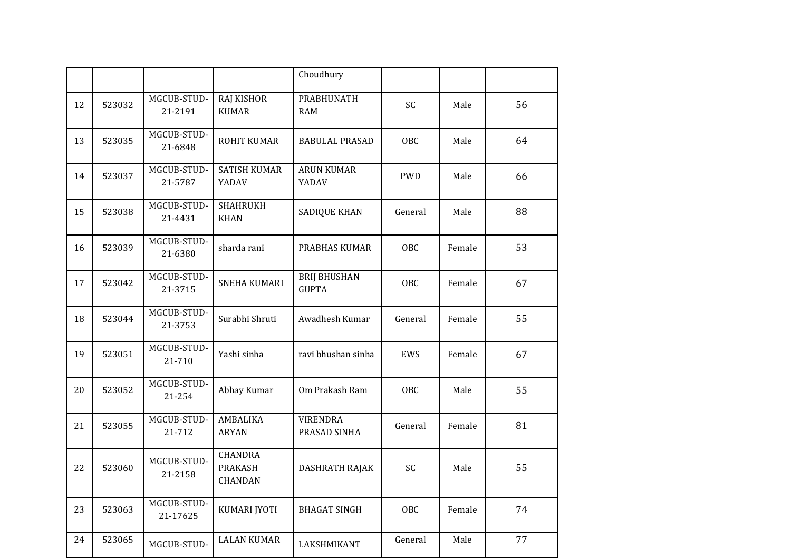|    |        |                         |                                             | Choudhury                           |            |        |    |
|----|--------|-------------------------|---------------------------------------------|-------------------------------------|------------|--------|----|
| 12 | 523032 | MGCUB-STUD-<br>21-2191  | <b>RAJ KISHOR</b><br><b>KUMAR</b>           | PRABHUNATH<br><b>RAM</b>            | SC         | Male   | 56 |
| 13 | 523035 | MGCUB-STUD-<br>21-6848  | <b>ROHIT KUMAR</b>                          | <b>BABULAL PRASAD</b>               | OBC        | Male   | 64 |
| 14 | 523037 | MGCUB-STUD-<br>21-5787  | <b>SATISH KUMAR</b><br>YADAV                | <b>ARUN KUMAR</b><br>YADAV          | <b>PWD</b> | Male   | 66 |
| 15 | 523038 | MGCUB-STUD-<br>21-4431  | <b>SHAHRUKH</b><br><b>KHAN</b>              | <b>SADIQUE KHAN</b>                 | General    | Male   | 88 |
| 16 | 523039 | MGCUB-STUD-<br>21-6380  | sharda rani                                 | PRABHAS KUMAR                       | OBC        | Female | 53 |
| 17 | 523042 | MGCUB-STUD-<br>21-3715  | SNEHA KUMARI                                | <b>BRIJ BHUSHAN</b><br><b>GUPTA</b> | <b>OBC</b> | Female | 67 |
| 18 | 523044 | MGCUB-STUD-<br>21-3753  | Surabhi Shruti                              | Awadhesh Kumar                      | General    | Female | 55 |
| 19 | 523051 | MGCUB-STUD-<br>21-710   | Yashi sinha                                 | ravi bhushan sinha                  | EWS        | Female | 67 |
| 20 | 523052 | MGCUB-STUD-<br>21-254   | Abhay Kumar                                 | Om Prakash Ram                      | OBC        | Male   | 55 |
| 21 | 523055 | MGCUB-STUD-<br>21-712   | AMBALIKA<br><b>ARYAN</b>                    | <b>VIRENDRA</b><br>PRASAD SINHA     | General    | Female | 81 |
| 22 | 523060 | MGCUB-STUD-<br>21-2158  | <b>CHANDRA</b><br><b>PRAKASH</b><br>CHANDAN | DASHRATH RAJAK                      | SC         | Male   | 55 |
| 23 | 523063 | MGCUB-STUD-<br>21-17625 | KUMARI JYOTI                                | <b>BHAGAT SINGH</b>                 | OBC        | Female | 74 |
| 24 | 523065 | MGCUB-STUD-             | <b>LALAN KUMAR</b>                          | LAKSHMIKANT                         | General    | Male   | 77 |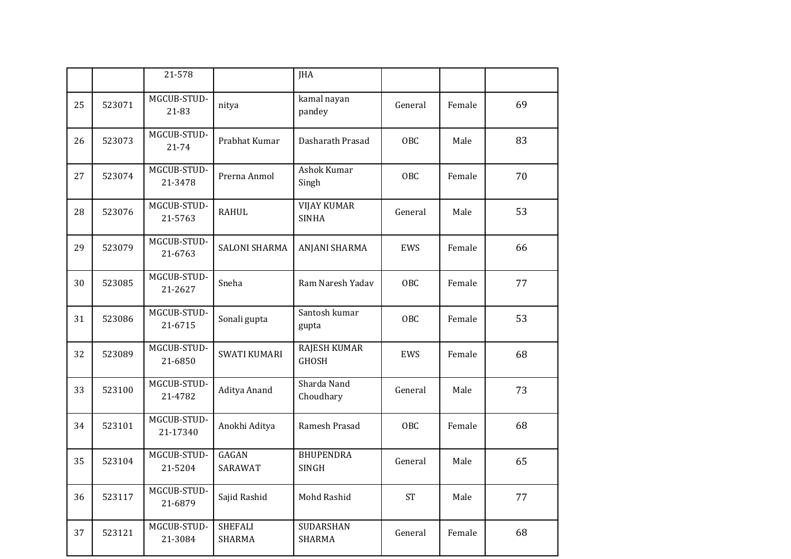|    |        | 21-578                  |                                 | <b>JHA</b>                          |            |        |    |
|----|--------|-------------------------|---------------------------------|-------------------------------------|------------|--------|----|
| 25 | 523071 | MGCUB-STUD-<br>21-83    | nitya                           | kamal nayan<br>pandey               | General    | Female | 69 |
| 26 | 523073 | MGCUB-STUD-<br>21-74    | Prabhat Kumar                   | Dasharath Prasad                    | <b>OBC</b> | Male   | 83 |
| 27 | 523074 | MGCUB-STUD-<br>21-3478  | Prerna Anmol                    | <b>Ashok Kumar</b><br>Singh         | <b>OBC</b> | Female | 70 |
| 28 | 523076 | MGCUB-STUD-<br>21-5763  | <b>RAHUL</b>                    | <b>VIJAY KUMAR</b><br><b>SINHA</b>  | General    | Male   | 53 |
| 29 | 523079 | MGCUB-STUD-<br>21-6763  | <b>SALONI SHARMA</b>            | ANJANI SHARMA                       | <b>EWS</b> | Female | 66 |
| 30 | 523085 | MGCUB-STUD-<br>21-2627  | Sneha                           | Ram Naresh Yadav                    | <b>OBC</b> | Female | 77 |
| 31 | 523086 | MGCUB-STUD-<br>21-6715  | Sonali gupta                    | Santosh kumar<br>gupta              | <b>OBC</b> | Female | 53 |
| 32 | 523089 | MGCUB-STUD-<br>21-6850  | <b>SWATI KUMARI</b>             | <b>RAJESH KUMAR</b><br><b>GHOSH</b> | EWS        | Female | 68 |
| 33 | 523100 | MGCUB-STUD-<br>21-4782  | Aditya Anand                    | Sharda Nand<br>Choudhary            | General    | Male   | 73 |
| 34 | 523101 | MGCUB-STUD-<br>21-17340 | Anokhi Aditya                   | Ramesh Prasad                       | OBC        | Female | 68 |
| 35 | 523104 | MGCUB-STUD-<br>21-5204  | GAGAN<br>SARAWAT                | <b>BHUPENDRA</b><br><b>SINGH</b>    | General    | Male   | 65 |
| 36 | 523117 | MGCUB-STUD-<br>21-6879  | Sajid Rashid                    | Mohd Rashid                         | <b>ST</b>  | Male   | 77 |
| 37 | 523121 | MGCUB-STUD-<br>21-3084  | <b>SHEFALI</b><br><b>SHARMA</b> | SUDARSHAN<br><b>SHARMA</b>          | General    | Female | 68 |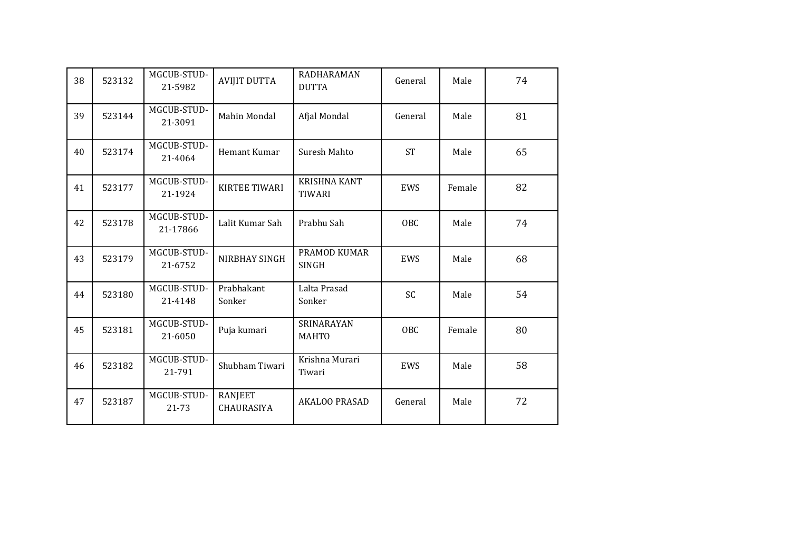| 38 | 523132 | MGCUB-STUD-<br>21-5982  | <b>AVIJIT DUTTA</b>          | RADHARAMAN<br><b>DUTTA</b>           | General    | Male   | 74 |
|----|--------|-------------------------|------------------------------|--------------------------------------|------------|--------|----|
| 39 | 523144 | MGCUB-STUD-<br>21-3091  | Mahin Mondal                 | Afjal Mondal                         | General    | Male   | 81 |
| 40 | 523174 | MGCUB-STUD-<br>21-4064  | Hemant Kumar                 | Suresh Mahto                         | <b>ST</b>  | Male   | 65 |
| 41 | 523177 | MGCUB-STUD-<br>21-1924  | <b>KIRTEE TIWARI</b>         | <b>KRISHNA KANT</b><br><b>TIWARI</b> | <b>EWS</b> | Female | 82 |
| 42 | 523178 | MGCUB-STUD-<br>21-17866 | Lalit Kumar Sah              | Prabhu Sah                           | OBC        | Male   | 74 |
| 43 | 523179 | MGCUB-STUD-<br>21-6752  | NIRBHAY SINGH                | PRAMOD KUMAR<br><b>SINGH</b>         | EWS        | Male   | 68 |
| 44 | 523180 | MGCUB-STUD-<br>21-4148  | Prabhakant<br>Sonker         | Lalta Prasad<br>Sonker               | SC         | Male   | 54 |
| 45 | 523181 | MGCUB-STUD-<br>21-6050  | Puja kumari                  | SRINARAYAN<br><b>MAHTO</b>           | <b>OBC</b> | Female | 80 |
| 46 | 523182 | MGCUB-STUD-<br>21-791   | Shubham Tiwari               | Krishna Murari<br>Tiwari             | EWS        | Male   | 58 |
| 47 | 523187 | MGCUB-STUD-<br>21-73    | <b>RANJEET</b><br>CHAURASIYA | AKALOO PRASAD                        | General    | Male   | 72 |